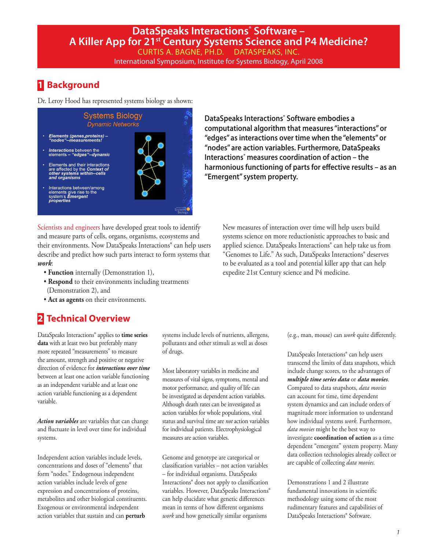# **1 Background**

Dr. Leroy Hood has represented systems biology as shown:



Scientists and engineers have developed great tools to identify and measure parts of cells, organs, organisms, ecosystems and their environments. Now DataSpeaks Interactions® can help users describe and predict how such parts interact to form systems that *work*:

- **Function** internally (Demonstration 1),
- **Respond** to their environments including treatments (Demonstration 2), and
- **Act as agents** on their environments.

# **2 Technical Overview**

DataSpeaks Interactions® applies to **time series data** with at least two but preferably many more repeated "measurements" to measure the amount, strength and positive or negative direction of evidence for *interactions over time* between at least one action variable functioning as an independent variable and at least one action variable functioning as a dependent variable.

*Action variables* are variables that can change and fluctuate in level over time for individual systems.

Independent action variables include levels, concentrations and doses of "elements" that form "nodes." Endogenous independent action variables include levels of gene expression and concentrations of proteins, metabolites and other biological constituents. Exogenous or environmental independent action variables that sustain and can **perturb**

systems include levels of nutrients, allergens, pollutants and other stimuli as well as doses of drugs.

Most laboratory variables in medicine and measures of vital signs, symptoms, mental and motor performance, and quality of life can be investigated as dependent action variables. Although death rates can be investigated as action variables for whole populations, vital status and survival time are *not* action variables for individual patients. Electrophysiological measures are action variables.

Genome and genotype are categorical or classification variables – not action variables – for individual organisms. DataSpeaks Interactions® does not apply to classification variables. However, DataSpeaks Interactions® can help elucidate what genetic differences mean in terms of how different organisms *work* and how genetically similar organisms

**DataSpeaks Interactions® Software embodies a computational algorithm that measures "interactions" or "edges" as interactions over time when the "elements" or "nodes" are action variables. Furthermore, DataSpeaks Interactions® measures coordination of action – the harmonious functioning of parts for effective results – as an "Emergent" system property.**

New measures of interaction over time will help users build systems science on more reductionistic approaches to basic and applied science. DataSpeaks Interactions® can help take us from "Genomes to Life." As such, DataSpeaks Interactions® deserves to be evaluated as a tool and potential killer app that can help expedite 21st Century science and P4 medicine.

(e.g., man, mouse) can *work* quite differently.

DataSpeaks Interactions® can help users transcend the limits of data snapshots, which include change scores, to the advantages of *multiple time series data* or *data movies*. Compared to data snapshots, *data movies* can account for time, time dependent system dynamics and can include orders of magnitude more information to understand how individual systems *work*. Furthermore, *data movies* might be the best way to investigate **coordination of action** as a time dependent "emergent" system property. Many data collection technologies already collect or are capable of collecting *data movies.*

Demonstrations 1 and 2 illustrate fundamental innovations in scientific methodology using some of the most rudimentary features and capabilities of DataSpeaks Interactions® Software.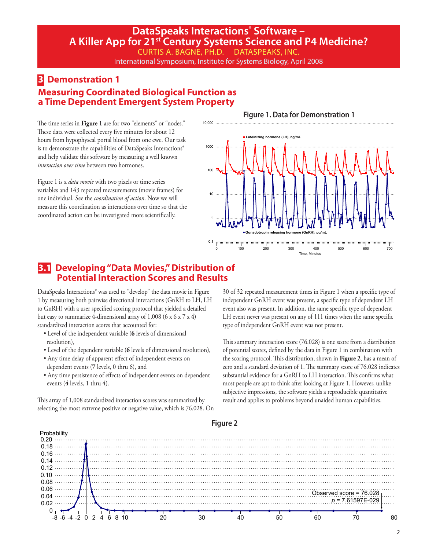International Symposium, Institute for Systems Biology, April 2008

10,000

# **3 Demonstration 1 Measuring Coordinated Biological Function as a Time Dependent Emergent System Property**

The time series in **Figure 1** are for two "elements" or "nodes." These data were collected every five minutes for about 12 hours from hypophyseal portal blood from one ewe. Our task is to demonstrate the capabilities of DataSpeaks Interactions® and help validate this software by measuring a well known *interaction over time* between two hormones.

Figure 1 is a *data movie* with two pixels or time series variables and 143 repeated measurements (movie frames) for one individual. See the *coordination of action*. Now we will measure this coordination as interactions over time so that the coordinated action can be investigated more scientifically.

**Figure 1. Data for Demonstration 1**



### **3.1 Developing "Data Movies," Distribution of Potential Interaction Scores and Results**

DataSpeaks Interactions® was used to "develop" the data movie in Figure 1 by measuring both pairwise directional interactions (GnRH to LH, LH to GnRH) with a user specified scoring protocol that yielded a detailed but easy to summarize 4-dimensional array of  $1,008$  (6 x 6 x 7 x 4) standardized interaction scores that accounted for:

- Level of the independent variable (**6** levels of dimensional resolution),
- Level of the dependent variable (**6** levels of dimensional resolution),
- Any time delay of apparent effect of independent events on dependent events (**7** levels, 0 thru 6), and
- Any time persistence of effects of independent events on dependent events (**4** levels, 1 thru 4).

This array of 1,008 standardized interaction scores was summarized by selecting the most extreme positive or negative value, which is 76.028. On

30 of 32 repeated measurement times in Figure 1 when a specific type of independent GnRH event was present, a specific type of dependent LH event also was present. In addition, the same specific type of dependent LH event never was present on any of 111 times when the same specific type of independent GnRH event was not present.

This summary interaction score (76.028) is one score from a distribution of potential scores, defined by the data in Figure 1 in combination with the scoring protocol. This distribution, shown in **Figure 2**, has a mean of zero and a standard deviation of 1. The summary score of 76.028 indicates substantial evidence for a GnRH to LH interaction. This confirms what most people are apt to think after looking at Figure 1. However, unlike subjective impressions, the software yields a reproducible quantitative result and applies to problems beyond unaided human capabilities.



### **Figure 2**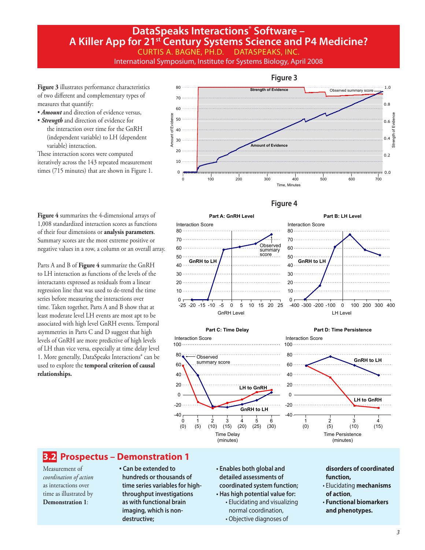### International Symposium, Institute for Systems Biology, April 2008

**Figure 3** illustrates performance characteristics of two different and complementary types of measures that quantify:

- *Amount* and direction of evidence versus,
- *Strength* and direction of evidence for the interaction over time for the GnRH (independent variable) to LH (dependent variable) interaction.

These interaction scores were computed iteratively across the 143 repeated measurement



### **Figure 4**

**Figure 4** summarizes the 4-dimensional arrays of 1,008 standardized interaction scores as functions of their four dimensions or **analysis parameters**. Summary scores are the most extreme positive or negative values in a row, a column or an overall array.

Parts A and B of **Figure 4** summarize the GnRH to LH interaction as functions of the levels of the interactants expressed as residuals from a linear regression line that was used to de-trend the time series before measuring the interactions over time. Taken together, Parts A and B show that at least moderate level LH events are most apt to be associated with high level GnRH events. Temporal asymmetries in Parts C and D suggest that high levels of GnRH are more predictive of high levels of LH than vice versa, especially at time delay level 1. More generally, DataSpeaks Interactions® can be used to explore the **temporal criterion of causal relationships.**



## **3.2 Prospectus – Demonstration 1**

Measurement of *coordination of action* as interactions over time as illustrated by **Demonstration 1**:

#### • **Can be extended to hundreds or thousands of time series variables for highthroughput investigations as with functional brain imaging, which is nondestructive;**

- **Enables both global and detailed assessments of coordinated system function; • Has high potential value for:**
	- Elucidating and visualizing normal coordination, • Objective diagnoses of

#### **disorders of coordinated function,**

- Elucidating **mechanisms of action**,
- **Functional biomarkers and phenotypes.**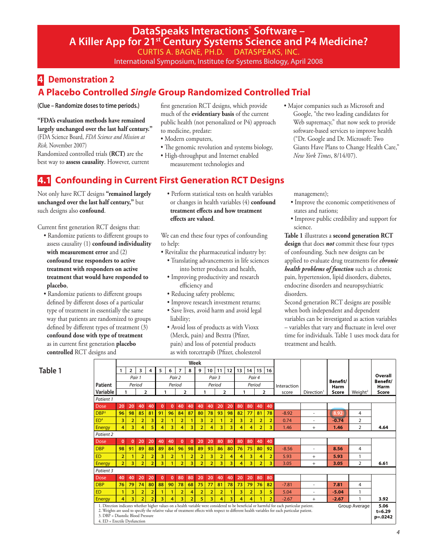# **DataSpeaks Interactions° Software -A Killer App for 21st Century Systems Science and P4 Medicine?**

CURTIS A. BAGNE, PH.D. DATASPEAKS, INC.

International Symposium, Institute for Systems Biology, April 2008

# **4 Demonstration 2 A Placebo Controlled** *Single* **Group Randomized Controlled Trial**

**(Clue – Randomize doses to time periods.)**

**"FDA's evaluation methods have remained largely unchanged over the last half century."**

(FDA Science Board, *FDA Science and Mission at Risk,* November 2007) Randomized controlled trials **(RCT)** are the

best way to **assess causality**. However, current

first generation RCT designs, which provide much of the **evidentiary basis** of the current public health (not personalized or P4) approach to medicine, predate:

- Modern computers,
- The genomic revolution and systems biology,
- High-throughput and Internet enabled measurement technologies and

# **4.1 Confounding in Current First Generation RCT Designs**

Not only have RCT designs **"remained largely unchanged over the last half century,"** but such designs also **confound**.

Current first generation RCT designs that:

- Randomize patients to different groups to assess causality (1) **confound individuality with measurement error** and (2) **confound true responders to active treatment with responders on active treatment that would have responded to placebo**,
- Randomize patients to different groups defined by different doses of a particular type of treatment in essentially the same way that patients are randomized to groups defined by different types of treatment (3) **confound dose with type of treatment**  as in current first generation **placebo controlled** RCT designs and

• Perform statistical tests on health variables or changes in health variables (4) **confound treatment effects and how treatment effects are valued**.

We can end these four types of confounding to help:

- Revitalize the pharmaceutical industry by: • Translating advancements in life sciences into better products and health,
	- Improving productivity and research efficiency and
	- Reducing safety problems;
	- Improve research investment returns;
	- Save lives, avoid harm and avoid legal liability;
	- Avoid loss of products as with Vioxx (Merck, pain) and Bextra (Pfizer, pain) and loss of potential products as with torcetrapib (Pfizer, cholesterol

• Major companies such as Microsoft and Google, "the two leading candidates for Web supremacy," that now seek to provide software-based services to improve health ("Dr. Google and Dr. Microsoft: Two Giants Have Plans to Change Health Care," *New York Times*, 8/14/07).

management);

- Improve the economic competitiveness of states and nations;
- Improve public credibility and support for science.

**Table 1** illustrates a **second generation RCT design** that does *not* commit these four types of confounding. Such new designs can be applied to evaluate drug treatments for *chronic health problems of function* such as chronic pain, hypertension, lipid disorders, diabetes, endocrine disorders and neuropsychiatric disorders.

Second generation RCT designs are possible when both independent and dependent variables can be investigated as action variables – variables that vary and fluctuate in level over time for individuals. Table 1 uses mock data for treatment and health.

| L<br>۰.<br>. .<br>×<br>v<br>۰, |  |
|--------------------------------|--|
|--------------------------------|--|

|                                                                   | Week           |                |                |                |                |                |                |                |                |                |                |                         |    |                 |                |                         |                                                                                                                                                                                                                                                                                              |                        |                        |                     |                                    |  |
|-------------------------------------------------------------------|----------------|----------------|----------------|----------------|----------------|----------------|----------------|----------------|----------------|----------------|----------------|-------------------------|----|-----------------|----------------|-------------------------|----------------------------------------------------------------------------------------------------------------------------------------------------------------------------------------------------------------------------------------------------------------------------------------------|------------------------|------------------------|---------------------|------------------------------------|--|
|                                                                   | 1              | $\overline{2}$ | 3              | 4              | 5              | 6              | 7              | 8              | 9              | 10             | 11             | 12                      | 13 | 15<br>14 <br>16 |                |                         |                                                                                                                                                                                                                                                                                              |                        |                        |                     |                                    |  |
|                                                                   |                | Pair 1         |                |                |                |                | Pair 2         |                |                | Pair 3         |                |                         |    | Pair 4          |                |                         |                                                                                                                                                                                                                                                                                              |                        | Benefit/               |                     | Overall<br>Benefit/                |  |
| Patient                                                           |                |                | Period         |                |                | Period         |                |                |                | Period         |                |                         |    | Period          |                |                         | Interaction                                                                                                                                                                                                                                                                                  |                        | Harm                   |                     | Harm                               |  |
| Variable                                                          | 1              |                |                | $\overline{2}$ |                | 1              |                | $\overline{2}$ | 1              |                |                | $\overline{2}$          |    | 1               |                | $\overline{2}$          | score                                                                                                                                                                                                                                                                                        | Direction <sup>1</sup> | Score                  | Weight <sup>2</sup> | Score                              |  |
| Patient 1                                                         |                |                |                |                |                |                |                |                |                |                |                |                         |    |                 |                |                         |                                                                                                                                                                                                                                                                                              |                        |                        |                     |                                    |  |
| Dose                                                              | 20             | 20             | 40             | 40             | $\mathbf{0}$   | $\mathbf 0$    | 40             | 40             | 40             | 40             | 20             | 20                      | 80 | 80              | 40             | 40                      |                                                                                                                                                                                                                                                                                              |                        |                        |                     |                                    |  |
| DBP <sup>3</sup>                                                  | 96             | 98             | 85             | 81             | 91             | 96             | 84             | 87             | 80             | 78             | 93             | 98                      | 82 | 77              | 81             | 78                      | $-8.92$                                                                                                                                                                                                                                                                                      | ٠                      | 8.92                   | 4                   |                                    |  |
| ED <sup>4</sup>                                                   | 3              | $\overline{2}$ | 2              | 3              | $\overline{2}$ | 1              | 2              | $\mathbf{1}$   | 3              | $\overline{a}$ | 1              | $\overline{2}$          | 3  | 2               | $\overline{2}$ | $\overline{2}$          | 0.74                                                                                                                                                                                                                                                                                         |                        | $-0.74$                | $\overline{2}$      |                                    |  |
| <b>Energy</b>                                                     | 4              | 3              | 4              | 5              | 4              | 3              | 4              | 3              | $\overline{2}$ | 4              | 3              | $\overline{\mathbf{3}}$ | 4  | 4               | $\overline{2}$ | 3                       | 1.46                                                                                                                                                                                                                                                                                         | $^{+}$                 | $\overline{2}$<br>1.46 |                     | 4.64                               |  |
| Patient 2                                                         |                |                |                |                |                |                |                |                |                |                |                |                         |    |                 |                |                         |                                                                                                                                                                                                                                                                                              |                        |                        |                     |                                    |  |
| Dose                                                              | $\mathbf{0}$   | $\mathbf 0$    | 20             | 20             | 40             | 40             | $\mathbf 0$    | $\mathbf 0$    | 20             | 20             | 80             | 80                      | 80 | 80              | 40             | 40                      |                                                                                                                                                                                                                                                                                              |                        |                        |                     |                                    |  |
| <b>DBP</b>                                                        | 98             | 91             | 89             | 88             | 89             | 84             | 96             | 98             | 89             | 93             | 86             | 80                      | 76 | 75              | 80             | 92                      | $-8.56$                                                                                                                                                                                                                                                                                      |                        | 8.56                   | 4                   |                                    |  |
| <b>ED</b>                                                         | $\overline{a}$ | 1              | $\overline{2}$ | $\overline{2}$ | 3              | $\overline{2}$ | 1              | $\overline{a}$ | $\overline{2}$ | 3              | $\overline{2}$ | 4                       | 4  | 3               | 4              | $\overline{2}$          | 5.93                                                                                                                                                                                                                                                                                         | $^{+}$                 | 5.93                   |                     |                                    |  |
| <b>Energy</b>                                                     | $\overline{2}$ | 3              | $\overline{2}$ | $\overline{2}$ | 3              | 1              | $\overline{a}$ | 3              | $\overline{a}$ | $\overline{2}$ | 3              | $\overline{\mathbf{3}}$ | 4  | 3               | $\overline{a}$ | $\overline{\mathbf{3}}$ | 3.05                                                                                                                                                                                                                                                                                         | $+$                    | $\overline{2}$<br>3.05 |                     | 6.61                               |  |
| Patient 3                                                         |                |                |                |                |                |                |                |                |                |                |                |                         |    |                 |                |                         |                                                                                                                                                                                                                                                                                              |                        |                        |                     |                                    |  |
| Dose                                                              | 40             | 40             | 20             | 20             | $\mathbf{0}$   | $\mathbf 0$    | 80             | 80             | 20             | 20             | 40             | 40                      | 20 | 20              | 80             | 80                      |                                                                                                                                                                                                                                                                                              |                        |                        |                     |                                    |  |
| <b>DBP</b>                                                        | 76             | 79             | 74             | 80             | 88             | 90             | 78             | 68             | 75             | 77             | 81             | 78                      | 73 | 79              | 76             | 82                      | $-7.81$                                                                                                                                                                                                                                                                                      |                        | 7.81                   | 4                   |                                    |  |
| <b>ED</b>                                                         | $\mathbf{1}$   | 3              | $\overline{2}$ | $\overline{2}$ | 1              | 1              | $\overline{2}$ | 4              | $\overline{2}$ | 2              | $\overline{2}$ |                         | 3  | $\overline{2}$  | 3              | 5                       | 5.04                                                                                                                                                                                                                                                                                         |                        | $-5.04$                | 1                   |                                    |  |
| <b>Energy</b>                                                     | 4              | 3              | $\overline{a}$ | $\overline{a}$ | 3              | 4              | 3              | $\overline{2}$ | 5              | 3              | 4              | 3                       | 4  | 4               | 1              | $\overline{2}$          | $-2.67$                                                                                                                                                                                                                                                                                      | $^{+}$                 | $-2.67$                |                     | 3.92                               |  |
| 3. DBP = Diastolic Blood Pressure<br>4. ED = Erectile Dysfunction |                |                |                |                |                |                |                |                |                |                |                |                         |    |                 |                |                         | 1. Direction indicates whether higher values on a health variable were considered to be beneficial or harmful for each particular patient.<br>2. Weights are used to specify the relative value of treatment effects with respect to different health variables for each particular patient. |                        |                        | Group Average       | 5.06<br>$t = 6.29$<br>$p = 0.0242$ |  |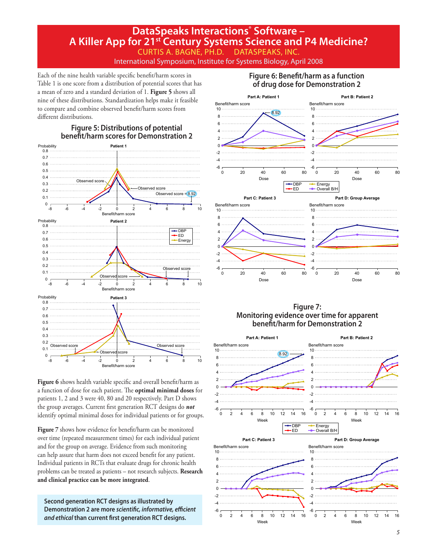International Symposium, Institute for Systems Biology, April 2008

Each of the nine health variable specific benefit/harm scores in Table 1 is one score from a distribution of potential scores that has a mean of zero and a standard deviation of 1. **Figure 5** shows all nine of these distributions. Standardization helps make it feasible to compare and combine observed benefit/harm scores from different distributions.



Figure 6 shows health variable specific and overall benefit/harm as a function of dose for each patient. The **optimal minimal doses** for patients 1, 2 and 3 were 40, 80 and 20 respectively. Part D shows the group averages. Current first generation RCT designs do *not* identify optimal minimal doses for individual patients or for groups.

**Figure 7** shows how evidence for benefit/harm can be monitored over time (repeated measurement times) for each individual patient and for the group on average. Evidence from such monitoring can help assure that harm does not exceed benefit for any patient. Individual patients in RCTs that evaluate drugs for chronic health problems can be treated as patients – not research subjects. **Research and clinical practice can be more integrated**.

**Second generation RCT designs as illustrated by Demonstration 2 are more** *scientific, informative, efficient and ethical* **than current first generation RCT designs.**

### **Figure 6: Benefit/harm as a function of drug dose for Demonstration 2**



### **Figure 7: Monitoring evidence over time for apparent benefit/harm for Demonstration 2**

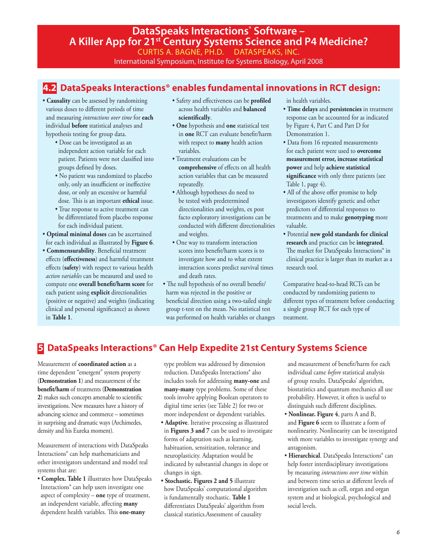International Symposium, Institute for Systems Biology, April 2008

# **4.2 DataSpeaks Interactions® enables fundamental innovations in RCT design:**

- **Causality** can be assessed by randomizing various doses to different periods of time and measuring *interactions over time* for **each** individual **before** statistical analyses and hypothesis testing for group data.
	- Dose can be investigated as an independent action variable for each patient. Patients were not classified into groups defined by doses.
	- No patient was randomized to placebo only, only an insufficient or ineffective dose, or only an excessive or harmful dose. This is an important **ethical** issue.
	- True response to active treatment can be differentiated from placebo response for each individual patient.
- **Optimal minimal doses** can be ascertained for each individual as illustrated by **Figure 6**.
- **Commensurability**. Beneficial treatment effects (**effectiveness**) and harmful treatment effects (**safety**) with respect to various health *action variables* can be measured and used to compute one **overall benefit/harm score** for each patient using **explicit** directionalities (positive or negative) and weights (indicating clinical and personal significance) as shown in **Table 1**.
- Safety and effectiveness can be **profiled** across health variables and **balanced scientifically**.
- **One** hypothesis and **one** statistical test in **one** RCT can evaluate benefit/harm with respect to **many** health action variables.
- Treatment evaluations can be **comprehensive** of effects on all health action variables that can be measured repeatedly.
- Although hypotheses do need to be tested with predetermined directionalities and weights, ex post facto exploratory investigations can be conducted with different directionalities and weights.
- One way to transform interaction scores into benefit/harm scores is to investigate how and to what extent interaction scores predict survival times and death rates.
- The null hypothesis of no overall benefit/ harm was rejected in the positive or beneficial direction using a two-tailed single group t-test on the mean. No statistical test was performed on health variables or changes

in health variables.

- **Time delays** and **persistencies** in treatment response can be accounted for as indicated by Figure 4, Part C and Part D for Demonstration 1.
- Data from 16 repeated measurements for each patient were used to **overcome measurement error, increase statistical power** and help **achieve statistical significance** with only three patients (see Table 1, page 4).
- All of the above offer promise to help investigators identify genetic and other predictors of differential responses to treatments and to make **genotyping** more valuable.
- Potential **new gold standards for clinical research** and practice can be **integrated**. The market for DataSpeaks Interactions<sup>®</sup> in clinical practice is larger than its market as a research tool.

Comparative head-to-head RCTs can be conducted by randomizing patients to different types of treatment before conducting a single group RCT for each type of treatment.

# **5 DataSpeaks Interactions® Can Help Expedite 21st Century Systems Science**

Measurement of **coordinated action** as a time dependent "emergent" system property (**Demonstration 1**) and measurement of the **benefit/harm** of treatments (**Demonstration 2**) makes such concepts amenable to scientific investigations. New measures have a history of advancing science and commerce – sometimes in surprising and dramatic ways (Archimedes, density and his Eureka moment).

Measurement of interactions with DataSpeaks Interactions® can help mathematicians and other investigators understand and model real systems that are:

• **Complex. Table 1** illustrates how DataSpeaks Interactions® can help users investigate one aspect of complexity – **one** type of treatment, an independent variable, affecting **many** dependent health variables. This **one-many**

type problem was addressed by dimension reduction. DataSpeaks Interactions® also includes tools for addressing **many-one** and **many-many** type problems. Some of these tools involve applying Boolean operators to digital time series (see Table 2) for two or more independent or dependent variables.

- **Adaptive**. Iterative processing as illustrated in **Figures 3 and 7** can be used to investigate forms of adaptation such as learning, habituation, sensitization, tolerance and neuroplasticity. Adaptation would be indicated by substantial changes in slope or changes in sign.
- **Stochastic. Figures 2 and 5** illustrate how DataSpeaks' computational algorithm is fundamentally stochastic. **Table 1**  differentiates DataSpeaks' algorithm from classical statistics.Assessment of causality

and measurement of benefit/harm for each individual came *before* statistical analysis of group results. DataSpeaks' algorithm, biostatistics and quantum mechanics all use probability. However, it often is useful to distinguish such different disciplines.

- **Nonlinear. Figure 4**, parts A and B, and **Figure 6** seem to illustrate a form of nonlinearity. Nonlinearity can be investigated with more variables to investigate synergy and antagonism.
- **Hierarchical**. DataSpeaks Interactions® can help foster interdisciplinary investigations by measuring *interactions over time* within and between time series at different levels of investigation such as cell, organ and organ system and at biological, psychological and social levels.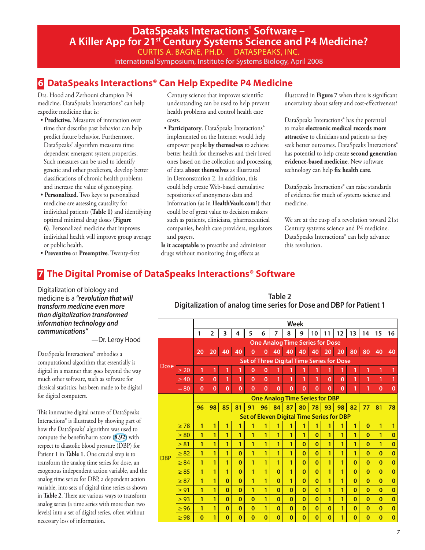International Symposium, Institute for Systems Biology, April 2008

# **6 DataSpeaks Interactions® Can Help Expedite P4 Medicine**

Drs. Hood and Zerhouni champion P4 medicine. DataSpeaks Interactions® can help expedite medicine that is:

- **Predictive**. Measures of interaction over time that describe past behavior can help predict future behavior. Furthermore, DataSpeaks' algorithm measures time dependent emergent system properties. Such measures can be used to identify genetic and other predictors, develop better classifications of chronic health problems and increase the value of genotyping.
- **Personalized**. Two keys to personalized medicine are assessing causality for individual patients (**Table 1)** and identifying optimal minimal drug doses (**Figure 6)**. Personalized medicine that improves individual health will improve group average or public health.
- Century science that improves scientific understanding can be used to help prevent health problems and control health care costs.
- **Participatory**. DataSpeaks Interactions® implemented on the Internet would help empower people **by themselves** to achieve better health for themselves and their loved ones based on the collection and processing of data **about themselves** as illustrated in Demonstration 2. In addition, this could help create Web-based cumulative repositories of anonymous data and information (as in **HealthVault.com**?) that could be of great value to decision makers such as patients, clinicians, pharmaceutical companies, health care providers, regulators and payers.

**Is it acceptable** to prescribe and administer drugs without monitoring drug effects as

illustrated in **Figure 7** when there is significant uncertainty about safety and cost-effectiveness?

DataSpeaks Interactions® has the potential to make **electronic medical records more attractive** to clinicians and patients as they seek better outcomes. DataSpeaks Interactions® has potential to help create **second generation evidence-based medicine**. New software technology can help **fix health care**.

DataSpeaks Interactions® can raise standards of evidence for much of systems science and medicine.

We are at the cusp of a revolution toward 21st Century systems science and P4 medicine. DataSpeaks Interactions® can help advance this revolution.

• **Preventive** or **Preemptive**. Twenty-first

# **7 The Digital Promise of DataSpeaks Interactions® Software**

Digitalization of biology and medicine is a *"revolution that will transform medicine even more than digitalization transformed information technology and communications"* 

—Dr. Leroy Hood

DataSpeaks Interactions® embodies a computational algorithm that essentially is digital in a manner that goes beyond the way much other software, such as software for classical statistics, has been made to be digital for digital computers.

This innovative digital nature of DataSpeaks Interactions® is illustrated by showing part of how the DataSpeaks' algorithm was used to compute the benefit/harm score (**8.92**) with respect to diastolic blood pressure (DBP) for Patient 1 in **Table 1**. One crucial step is to transform the analog time series for dose, an exogenous independent action variable, and the analog time series for DBP, a dependent action variable, into sets of digital time series as shown in **Table 2**. There are various ways to transform analog series (a time series with more than two levels) into a set of digital series, often without necessary loss of information.

**Table 2 Digitalization of analog time series for Dose and DBP for Patient 1**

|             |           |                                                  |                                                  |              |             |              |                                       |          | <b>Week</b>  |              |          |              |              |          |              |             |              |
|-------------|-----------|--------------------------------------------------|--------------------------------------------------|--------------|-------------|--------------|---------------------------------------|----------|--------------|--------------|----------|--------------|--------------|----------|--------------|-------------|--------------|
|             |           | 1                                                | 2                                                | 3            | 4           | 5            | 6                                     | 7        | 8            | 9            | 10       | 11           | 12           | 13       | 14           | 15          | 16           |
|             |           | <b>One Analog Time Series for Dose</b>           |                                                  |              |             |              |                                       |          |              |              |          |              |              |          |              |             |              |
| <b>Dose</b> |           | 20                                               | 20                                               | 40           | 40          | $\mathbf{0}$ | $\overline{0}$                        | 40       | 40           | 40           | 40       | 20           | 20           | 80       | 80           | 40          | 40           |
|             |           | <b>Set of Three Digital Time Series for Dose</b> |                                                  |              |             |              |                                       |          |              |              |          |              |              |          |              |             |              |
|             | $\geq 20$ | $\mathbf{1}$                                     | 1                                                | 1            |             | $\mathbf{0}$ | $\Omega$                              | 1        | 1            | 1            | 1        | 1            | 1            | 1        | 1            | 1           | 1            |
|             | $\geq 40$ | $\Omega$                                         | $\mathbf{0}$                                     | 1            | 1           | $\mathbf{0}$ | $\Omega$                              | 1        | 1            | 1            | 1        | $\Omega$     | $\mathbf{0}$ | 1        | 1            | 1           | 1            |
|             | $= 80$    | $\mathbf{0}$                                     | $\mathbf{0}$                                     | $\mathbf{0}$ | $\mathbf 0$ | $\Omega$     | $\Omega$                              | $\Omega$ | $\bf{0}$     | $\mathbf{0}$ | $\Omega$ | $\mathbf{0}$ | $\mathbf{0}$ | 1        | 1            | $\mathbf 0$ | $\mathbf 0$  |
|             |           |                                                  |                                                  |              |             |              | <b>One Analog Time Series for DBP</b> |          |              |              |          |              |              |          |              |             |              |
|             |           | 96                                               | 98                                               | 85           | 81          | 91           | 96                                    | 84       | 87           | 80           | 78       | 93           | 98           | 82       | 77           | 81          | 78           |
|             |           |                                                  | <b>Set of Eleven Digital Time Series for DBP</b> |              |             |              |                                       |          |              |              |          |              |              |          |              |             |              |
|             | $\geq 78$ | $\mathbf{1}$                                     | 1                                                | 1            | 1           | 1            | 1                                     | 1        | 1            | 1            | 1        | 1            | 1            | 1        | $\mathbf{0}$ | 1           | 1            |
|             | $\geq 80$ | 1                                                | 1                                                | 1            | 1           | 1            | 1                                     | 1        | 1            | 1            | $\Omega$ | 1            | 1            | 1        | $\Omega$     | 1           | $\mathbf{0}$ |
|             | $\geq 81$ | 1                                                | 1                                                | 1            | 1           | 1            | 1                                     | 1        | 1            | $\mathbf{0}$ | $\bf{0}$ | 1            | 1            | 1        | $\bf{0}$     | 1           | $\mathbf{0}$ |
| <b>DBP</b>  | $\geq 82$ | 1                                                | 1                                                | 1            | $\Omega$    | 1            | 1                                     | 1        | 1            | $\Omega$     | $\Omega$ | 1            | 1            | 1        | $\bf{0}$     | $\Omega$    | $\mathbf{0}$ |
|             | $\geq 84$ | 1                                                | 1                                                | 1            | $\Omega$    | 1            | 1                                     | 1        | 1            | $\Omega$     | $\Omega$ | 1            | 1            | $\Omega$ | $\bf{0}$     | $\bf{0}$    | $\mathbf{0}$ |
|             | $\geq 85$ | 1                                                | 1                                                | 1            | $\Omega$    | 1            | 1                                     | $\Omega$ | 1            | $\Omega$     | $\bf{0}$ | 1            | 1            | $\Omega$ | $\bf{0}$     | $\Omega$    | $\bf{0}$     |
|             | $\geq 87$ | 1                                                | 1                                                | $\bf{0}$     | $\Omega$    | 1            | 1                                     | $\Omega$ | 1            | $\bf{0}$     | $\bf{0}$ | 1            | 1            | $\bf{0}$ | $\bf{0}$     | $\bf{0}$    | $\mathbf 0$  |
|             | $\geq 91$ | 1                                                | 1                                                | $\Omega$     | $\Omega$    | 1            | 1                                     | $\Omega$ | $\Omega$     | $\Omega$     | $\Omega$ | 1            | 1            | $\Omega$ | $\Omega$     | $\Omega$    | $\mathbf{0}$ |
|             | $\geq 93$ | 1                                                | 1                                                | $\Omega$     | $\Omega$    | $\Omega$     | 1                                     | $\Omega$ | $\Omega$     | $\Omega$     | $\Omega$ | 1            | 1            | $\Omega$ | $\bf{0}$     | $\Omega$    | $\mathbf 0$  |
|             | $\geq 96$ | 1                                                | 1                                                | $\Omega$     | $\Omega$    | $\Omega$     | 1                                     | $\Omega$ | $\Omega$     | $\Omega$     | $\Omega$ | $\Omega$     | 1            | $\Omega$ | $\bf{0}$     | $\Omega$    | $\mathbf 0$  |
|             | $\geq 98$ | $\mathbf{0}$                                     | 1                                                | $\bf{0}$     | $\bf{0}$    | $\bf{0}$     | $\mathbf{0}$                          | $\bf{0}$ | $\mathbf{0}$ | $\mathbf{0}$ | $\bf{0}$ | $\mathbf{0}$ | 1            | $\bf{0}$ | $\bf{0}$     | $\bf{0}$    | $\mathbf 0$  |